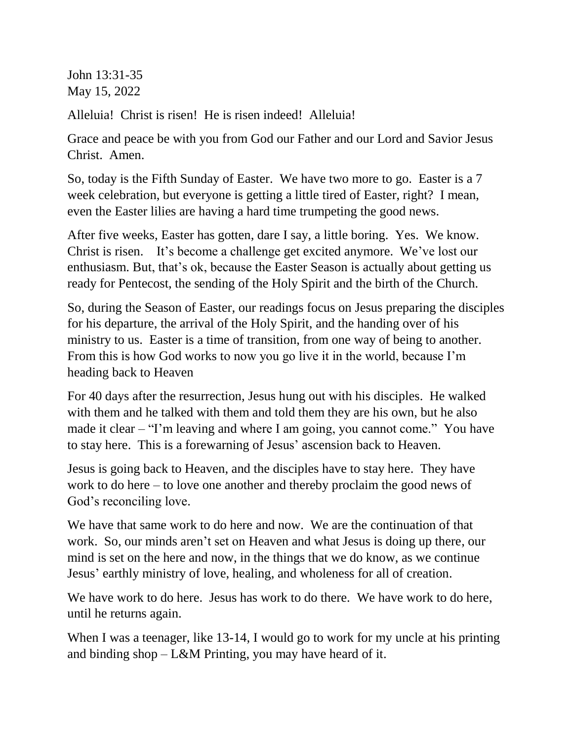John 13:31-35 May 15, 2022

Alleluia! Christ is risen! He is risen indeed! Alleluia!

Grace and peace be with you from God our Father and our Lord and Savior Jesus Christ. Amen.

So, today is the Fifth Sunday of Easter. We have two more to go. Easter is a 7 week celebration, but everyone is getting a little tired of Easter, right? I mean, even the Easter lilies are having a hard time trumpeting the good news.

After five weeks, Easter has gotten, dare I say, a little boring. Yes. We know. Christ is risen. It's become a challenge get excited anymore. We've lost our enthusiasm. But, that's ok, because the Easter Season is actually about getting us ready for Pentecost, the sending of the Holy Spirit and the birth of the Church.

So, during the Season of Easter, our readings focus on Jesus preparing the disciples for his departure, the arrival of the Holy Spirit, and the handing over of his ministry to us. Easter is a time of transition, from one way of being to another. From this is how God works to now you go live it in the world, because I'm heading back to Heaven

For 40 days after the resurrection, Jesus hung out with his disciples. He walked with them and he talked with them and told them they are his own, but he also made it clear – "I'm leaving and where I am going, you cannot come." You have to stay here. This is a forewarning of Jesus' ascension back to Heaven.

Jesus is going back to Heaven, and the disciples have to stay here. They have work to do here – to love one another and thereby proclaim the good news of God's reconciling love.

We have that same work to do here and now. We are the continuation of that work. So, our minds aren't set on Heaven and what Jesus is doing up there, our mind is set on the here and now, in the things that we do know, as we continue Jesus' earthly ministry of love, healing, and wholeness for all of creation.

We have work to do here. Jesus has work to do there. We have work to do here, until he returns again.

When I was a teenager, like 13-14, I would go to work for my uncle at his printing and binding shop – L&M Printing, you may have heard of it.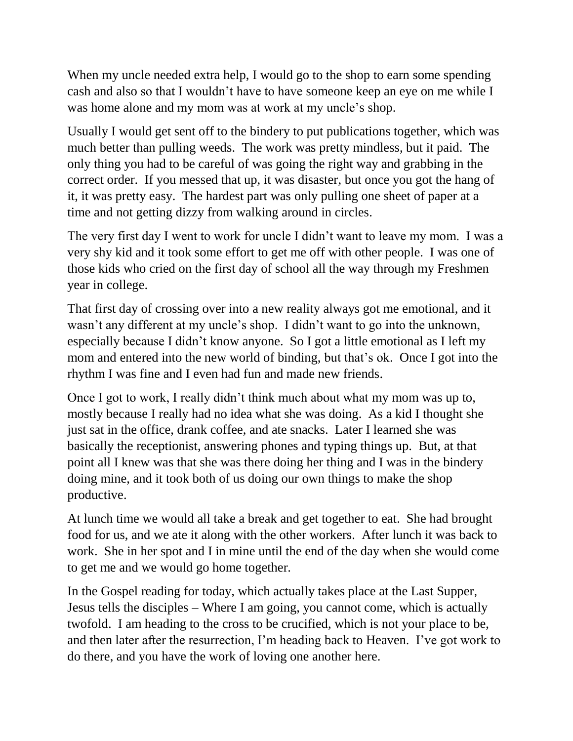When my uncle needed extra help, I would go to the shop to earn some spending cash and also so that I wouldn't have to have someone keep an eye on me while I was home alone and my mom was at work at my uncle's shop.

Usually I would get sent off to the bindery to put publications together, which was much better than pulling weeds. The work was pretty mindless, but it paid. The only thing you had to be careful of was going the right way and grabbing in the correct order. If you messed that up, it was disaster, but once you got the hang of it, it was pretty easy. The hardest part was only pulling one sheet of paper at a time and not getting dizzy from walking around in circles.

The very first day I went to work for uncle I didn't want to leave my mom. I was a very shy kid and it took some effort to get me off with other people. I was one of those kids who cried on the first day of school all the way through my Freshmen year in college.

That first day of crossing over into a new reality always got me emotional, and it wasn't any different at my uncle's shop. I didn't want to go into the unknown, especially because I didn't know anyone. So I got a little emotional as I left my mom and entered into the new world of binding, but that's ok. Once I got into the rhythm I was fine and I even had fun and made new friends.

Once I got to work, I really didn't think much about what my mom was up to, mostly because I really had no idea what she was doing. As a kid I thought she just sat in the office, drank coffee, and ate snacks. Later I learned she was basically the receptionist, answering phones and typing things up. But, at that point all I knew was that she was there doing her thing and I was in the bindery doing mine, and it took both of us doing our own things to make the shop productive.

At lunch time we would all take a break and get together to eat. She had brought food for us, and we ate it along with the other workers. After lunch it was back to work. She in her spot and I in mine until the end of the day when she would come to get me and we would go home together.

In the Gospel reading for today, which actually takes place at the Last Supper, Jesus tells the disciples – Where I am going, you cannot come, which is actually twofold. I am heading to the cross to be crucified, which is not your place to be, and then later after the resurrection, I'm heading back to Heaven. I've got work to do there, and you have the work of loving one another here.